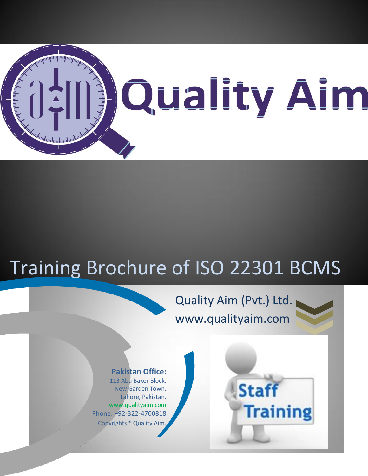

# Training Brochure of ISO 22301 BCMS

ׇ֘֒

# Quality Aim (Pvt.) Ltd. www.qualityaim.com



#### **Pakistan Office:**

113 Abu Baker Block, New Garden Town, Lahore, Pakistan. www.qualityaim.com Phone: +92-322-4700818 Copyrights ® Quality Aim.

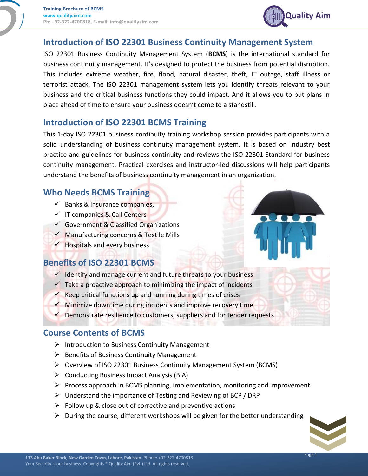

#### **Introduction of ISO 22301 Business Continuity Management System**

ISO 22301 Business Continuity Management System (**BCMS**) is the international standard for business continuity management. It's designed to protect the business from potential disruption. This includes extreme weather, fire, flood, natural disaster, theft, IT outage, staff illness or terrorist attack. The ISO 22301 management system lets you identify threats relevant to your business and the critical business functions they could impact. And it allows you to put plans in place ahead of time to ensure your business doesn't come to a standstill.

#### **Introduction of ISO 22301 BCMS Training**

This 1-day ISO 22301 business continuity training workshop session provides participants with a solid understanding of business continuity management system. It is based on industry best practice and guidelines for business continuity and reviews the ISO 22301 Standard for business continuity management. Practical exercises and instructor-led discussions will help participants understand the benefits of business continuity management in an organization.

## **Who Needs BCMS Training**

- $\checkmark$  Banks & Insurance companies,
- $\checkmark$  IT companies & Call Centers
- $\checkmark$  Government & Classified Organizations
- $\checkmark$  Manufacturing concerns & Textile Mills
- $\checkmark$  Hospitals and every business

#### **Benefits of ISO 22301 BCMS**

- $\checkmark$  Identify and manage current and future threats to your business
- $\checkmark$  Take a proactive approach to minimizing the impact of incidents
- $\checkmark$  Keep critical functions up and running during times of crises
- $\checkmark$  Minimize downtime during incidents and improve recovery time
- $\sqrt{\phantom{a}}$  Demonstrate resilience to customers, suppliers and for tender requests

#### **Course Contents of BCMS**

- $\triangleright$  Introduction to Business Continuity Management
- $\triangleright$  Benefits of Business Continuity Management
- Overview of ISO 22301 Business Continuity Management System (BCMS)
- $\triangleright$  Conducting Business Impact Analysis (BIA)
- $\triangleright$  Process approach in BCMS planning, implementation, monitoring and improvement
- Understand the importance of Testing and Reviewing of BCP / DRP
- $\triangleright$  Follow up & close out of corrective and preventive actions
- $\triangleright$  During the course, different workshops will be given for the better understanding